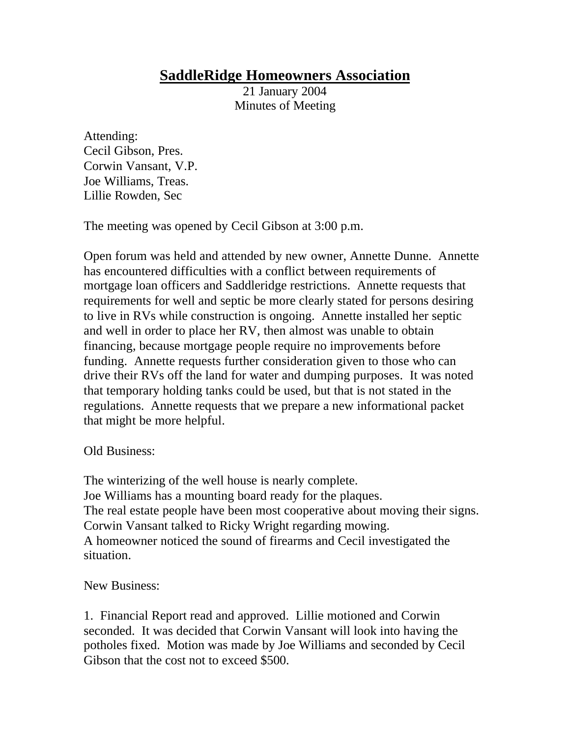## **SaddleRidge Homeowners Association**

21 January 2004 Minutes of Meeting

Attending: Cecil Gibson, Pres. Corwin Vansant, V.P. Joe Williams, Treas. Lillie Rowden, Sec

The meeting was opened by Cecil Gibson at 3:00 p.m.

Open forum was held and attended by new owner, Annette Dunne. Annette has encountered difficulties with a conflict between requirements of mortgage loan officers and Saddleridge restrictions. Annette requests that requirements for well and septic be more clearly stated for persons desiring to live in RVs while construction is ongoing. Annette installed her septic and well in order to place her RV, then almost was unable to obtain financing, because mortgage people require no improvements before funding. Annette requests further consideration given to those who can drive their RVs off the land for water and dumping purposes. It was noted that temporary holding tanks could be used, but that is not stated in the regulations. Annette requests that we prepare a new informational packet that might be more helpful.

Old Business:

The winterizing of the well house is nearly complete. Joe Williams has a mounting board ready for the plaques. The real estate people have been most cooperative about moving their signs. Corwin Vansant talked to Ricky Wright regarding mowing. A homeowner noticed the sound of firearms and Cecil investigated the situation.

New Business:

1. Financial Report read and approved. Lillie motioned and Corwin seconded. It was decided that Corwin Vansant will look into having the potholes fixed. Motion was made by Joe Williams and seconded by Cecil Gibson that the cost not to exceed \$500.